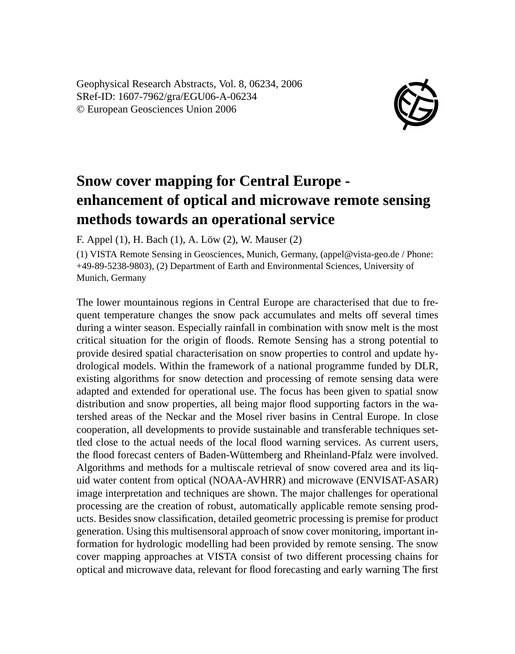Geophysical Research Abstracts, Vol. 8, 06234, 2006 SRef-ID: 1607-7962/gra/EGU06-A-06234 © European Geosciences Union 2006



## **Snow cover mapping for Central Europe enhancement of optical and microwave remote sensing methods towards an operational service**

F. Appel (1), H. Bach (1), A. Löw (2), W. Mauser (2)

(1) VISTA Remote Sensing in Geosciences, Munich, Germany, (appel@vista-geo.de / Phone: +49-89-5238-9803), (2) Department of Earth and Environmental Sciences, University of Munich, Germany

The lower mountainous regions in Central Europe are characterised that due to frequent temperature changes the snow pack accumulates and melts off several times during a winter season. Especially rainfall in combination with snow melt is the most critical situation for the origin of floods. Remote Sensing has a strong potential to provide desired spatial characterisation on snow properties to control and update hydrological models. Within the framework of a national programme funded by DLR, existing algorithms for snow detection and processing of remote sensing data were adapted and extended for operational use. The focus has been given to spatial snow distribution and snow properties, all being major flood supporting factors in the watershed areas of the Neckar and the Mosel river basins in Central Europe. In close cooperation, all developments to provide sustainable and transferable techniques settled close to the actual needs of the local flood warning services. As current users, the flood forecast centers of Baden-Wüttemberg and Rheinland-Pfalz were involved. Algorithms and methods for a multiscale retrieval of snow covered area and its liquid water content from optical (NOAA-AVHRR) and microwave (ENVISAT-ASAR) image interpretation and techniques are shown. The major challenges for operational processing are the creation of robust, automatically applicable remote sensing products. Besides snow classification, detailed geometric processing is premise for product generation. Using this multisensoral approach of snow cover monitoring, important information for hydrologic modelling had been provided by remote sensing. The snow cover mapping approaches at VISTA consist of two different processing chains for optical and microwave data, relevant for flood forecasting and early warning The first